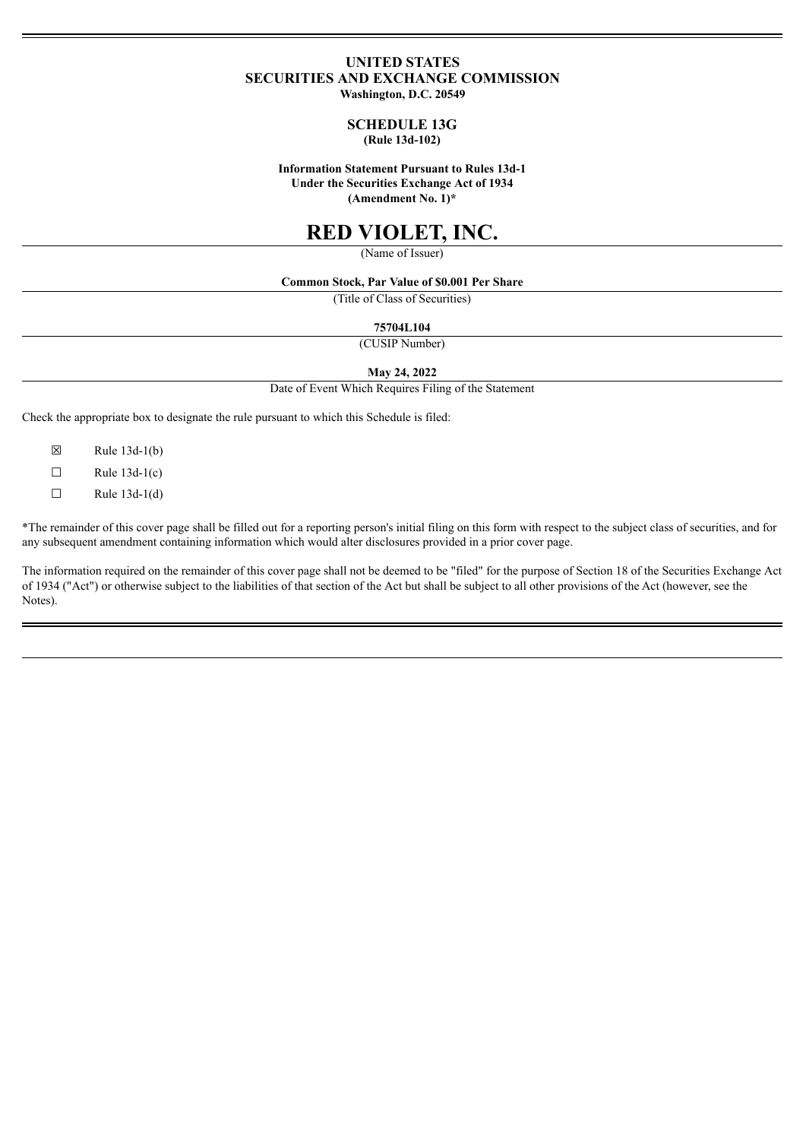## **UNITED STATES SECURITIES AND EXCHANGE COMMISSION**

**Washington, D.C. 20549**

#### **SCHEDULE 13G (Rule 13d-102)**

#### **Information Statement Pursuant to Rules 13d-1 Under the Securities Exchange Act of 1934 (Amendment No. 1)\***

# **RED VIOLET, INC.**

(Name of Issuer)

#### **Common Stock, Par Value of \$0.001 Per Share**

(Title of Class of Securities)

#### **75704L104**

(CUSIP Number)

#### **May 24, 2022**

Date of Event Which Requires Filing of the Statement

Check the appropriate box to designate the rule pursuant to which this Schedule is filed:

- $\boxtimes$  Rule 13d-1(b)
- $\Box$  Rule 13d-1(c)
- $\Box$  Rule 13d-1(d)

\*The remainder of this cover page shall be filled out for a reporting person's initial filing on this form with respect to the subject class of securities, and for any subsequent amendment containing information which would alter disclosures provided in a prior cover page.

The information required on the remainder of this cover page shall not be deemed to be "filed" for the purpose of Section 18 of the Securities Exchange Act of 1934 ("Act") or otherwise subject to the liabilities of that section of the Act but shall be subject to all other provisions of the Act (however, see the Notes).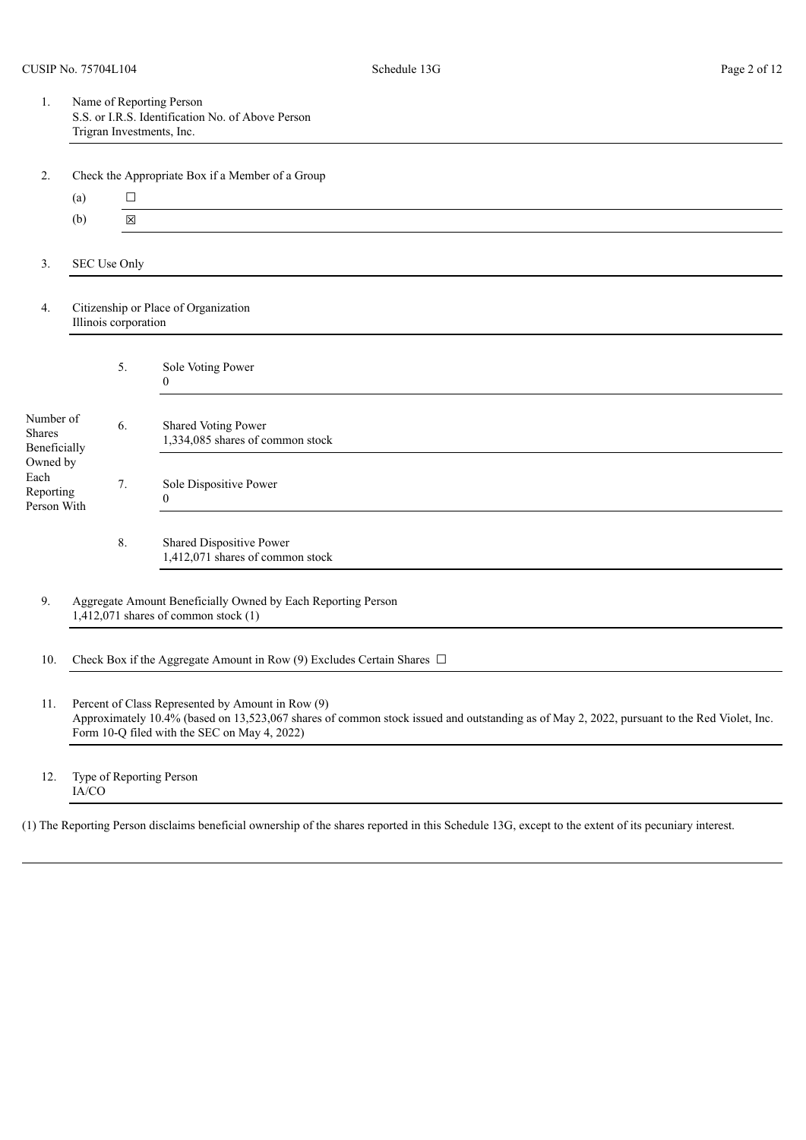| Name of Reporting Person                          |
|---------------------------------------------------|
| S.S. or I.R.S. Identification No. of Above Person |
| Trigran Investments, Inc.                         |

 $\Gamma$  Check the Appropriate Box if a Member of a  $G$ 

| z.                                           |     |                      | Check the Appropriate Box II a Member of a Group                                                         |
|----------------------------------------------|-----|----------------------|----------------------------------------------------------------------------------------------------------|
|                                              | (a) | $\Box$               |                                                                                                          |
|                                              | (b) | $\boxtimes$          |                                                                                                          |
|                                              |     |                      |                                                                                                          |
| 3.                                           |     | SEC Use Only         |                                                                                                          |
| 4.                                           |     | Illinois corporation | Citizenship or Place of Organization                                                                     |
|                                              |     | 5.                   | Sole Voting Power<br>$\overline{0}$                                                                      |
| Number of<br>Shares<br>Beneficially          |     | 6.                   | Shared Voting Power<br>1,334,085 shares of common stock                                                  |
| Owned by<br>Each<br>Reporting<br>Person With |     | 7.                   | Sole Dispositive Power<br>$\overline{0}$                                                                 |
|                                              |     | 8.                   | Shared Dispositive Power<br>1,412,071 shares of common stock                                             |
| 9.                                           |     |                      | Aggregate Amount Beneficially Owned by Each Reporting Person<br>$1,412,071$ shares of common stock $(1)$ |
| 10.                                          |     |                      | Check Box if the Aggregate Amount in Row (9) Excludes Certain Shares $\Box$                              |

- 11. Percent of Class Represented by Amount in Row (9) Approximately 10.4% (based on 13,523,067 shares of common stock issued and outstanding as of May 2, 2022, pursuant to the Red Violet, Inc. Form 10-Q filed with the SEC on May 4, 2022)
- 12. Type of Reporting Person IA/CO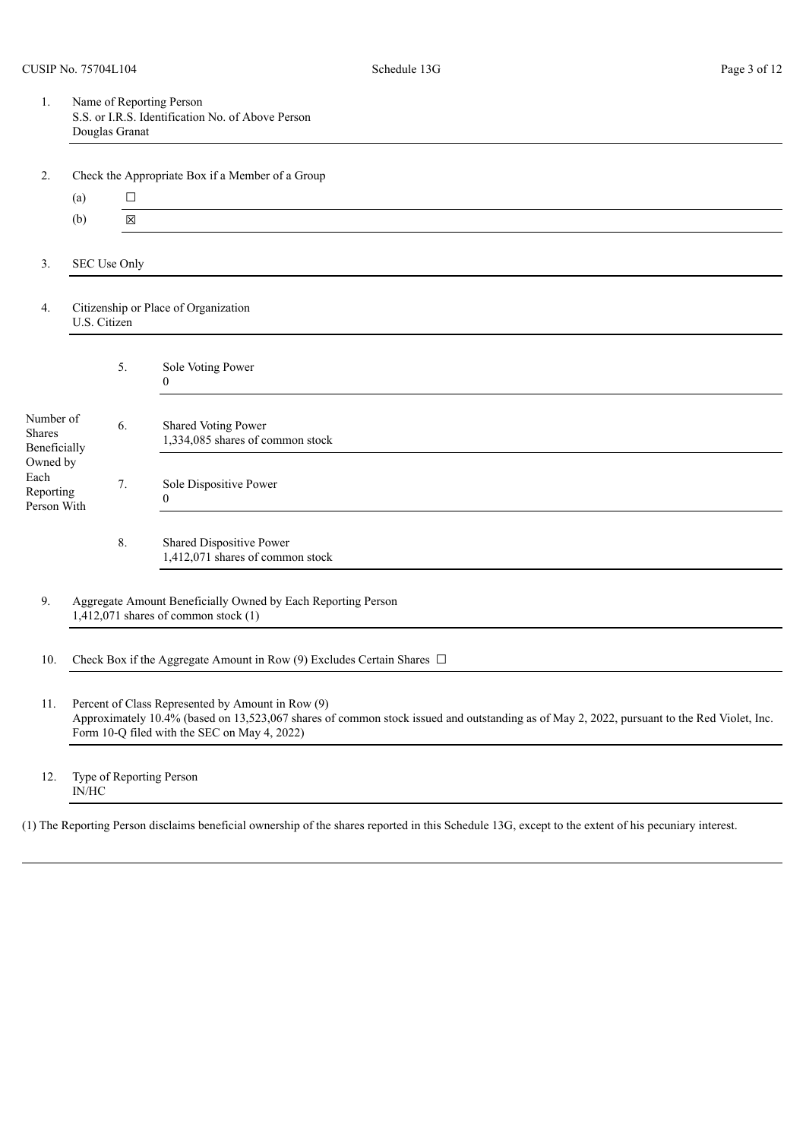| Name of Reporting Person<br>S.S. or I.R.S. Identification No. of Above Person |
|-------------------------------------------------------------------------------|
| Douglas Granat                                                                |

|                                              |              |              | Check the <i>Appropriate</i> Dox if a Memoer of a Group        |
|----------------------------------------------|--------------|--------------|----------------------------------------------------------------|
|                                              | (a)          | $\Box$       |                                                                |
|                                              | (b)          | $\boxtimes$  |                                                                |
|                                              |              |              |                                                                |
| 3.                                           |              | SEC Use Only |                                                                |
| 4.                                           | U.S. Citizen |              | Citizenship or Place of Organization                           |
|                                              |              | 5.           | Sole Voting Power<br>$\theta$                                  |
| Number of<br><b>Shares</b><br>Beneficially   |              | 6.           | <b>Shared Voting Power</b><br>1,334,085 shares of common stock |
| Owned by<br>Each<br>Reporting<br>Person With |              | 7.           | Sole Dispositive Power<br>$\mathbf{0}$                         |
|                                              |              | 8.           | Shared Dispositive Power<br>1,412,071 shares of common stock   |

10. Check Box if the Aggregate Amount in Row (9) Excludes Certain Shares  $\Box$ 

11. Percent of Class Represented by Amount in Row (9) Approximately 10.4% (based on 13,523,067 shares of common stock issued and outstanding as of May 2, 2022, pursuant to the Red Violet, Inc. Form 10-Q filed with the SEC on May 4, 2022)

12. Type of Reporting Person IN/HC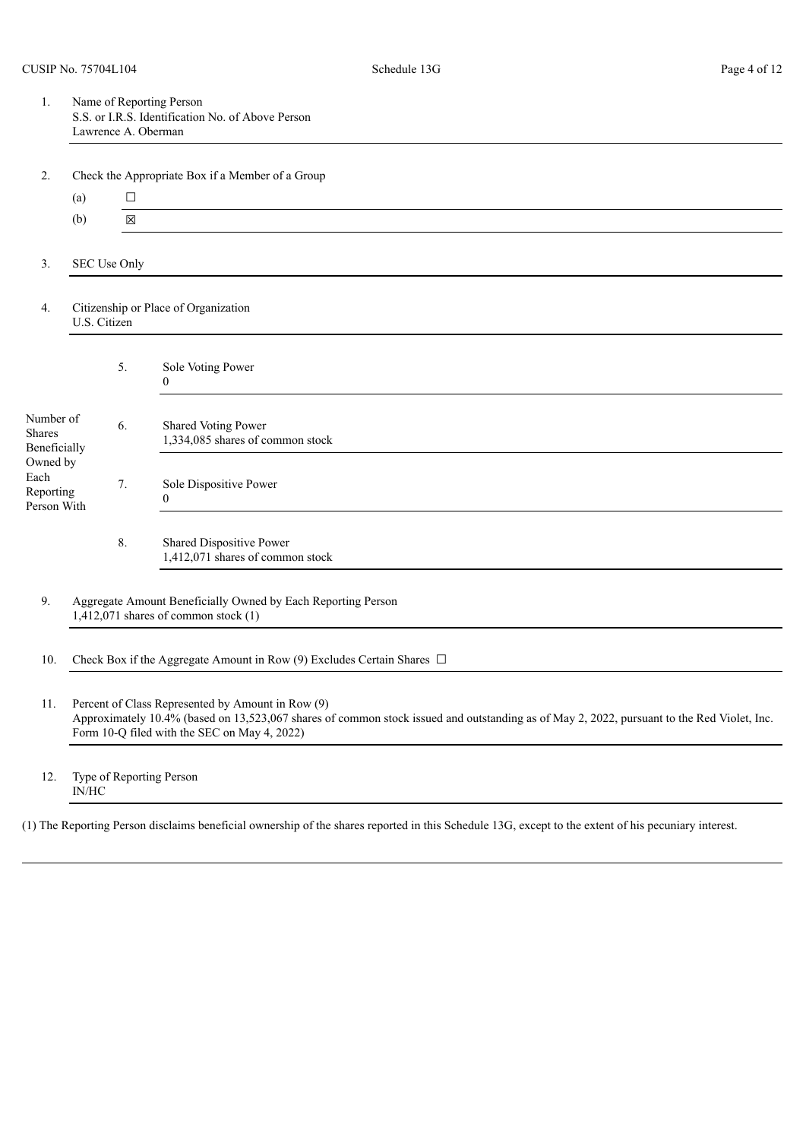| Name of Reporting Person                          |
|---------------------------------------------------|
| S.S. or I.R.S. Identification No. of Above Person |
| Lawrence A. Oberman                               |

|                                              |              | . .          | $\overline{1}$                                                                                           |
|----------------------------------------------|--------------|--------------|----------------------------------------------------------------------------------------------------------|
|                                              | (a)          | $\Box$       |                                                                                                          |
|                                              | (b)          | $\boxtimes$  |                                                                                                          |
|                                              |              |              |                                                                                                          |
| 3.                                           |              | SEC Use Only |                                                                                                          |
| 4.                                           | U.S. Citizen |              | Citizenship or Place of Organization                                                                     |
|                                              |              | 5.           | Sole Voting Power<br>$\theta$                                                                            |
| Number of<br><b>Shares</b><br>Beneficially   |              | 6.           | Shared Voting Power<br>1,334,085 shares of common stock                                                  |
| Owned by<br>Each<br>Reporting<br>Person With |              | 7.           | Sole Dispositive Power<br>$\overline{0}$                                                                 |
|                                              |              | 8.           | Shared Dispositive Power<br>1,412,071 shares of common stock                                             |
| 9.                                           |              |              | Aggregate Amount Beneficially Owned by Each Reporting Person<br>$1,412,071$ shares of common stock $(1)$ |

10. Check Box if the Aggregate Amount in Row (9) Excludes Certain Shares  $\Box$ 

11. Percent of Class Represented by Amount in Row (9) Approximately 10.4% (based on 13,523,067 shares of common stock issued and outstanding as of May 2, 2022, pursuant to the Red Violet, Inc. Form 10-Q filed with the SEC on May 4, 2022)

12. Type of Reporting Person IN/HC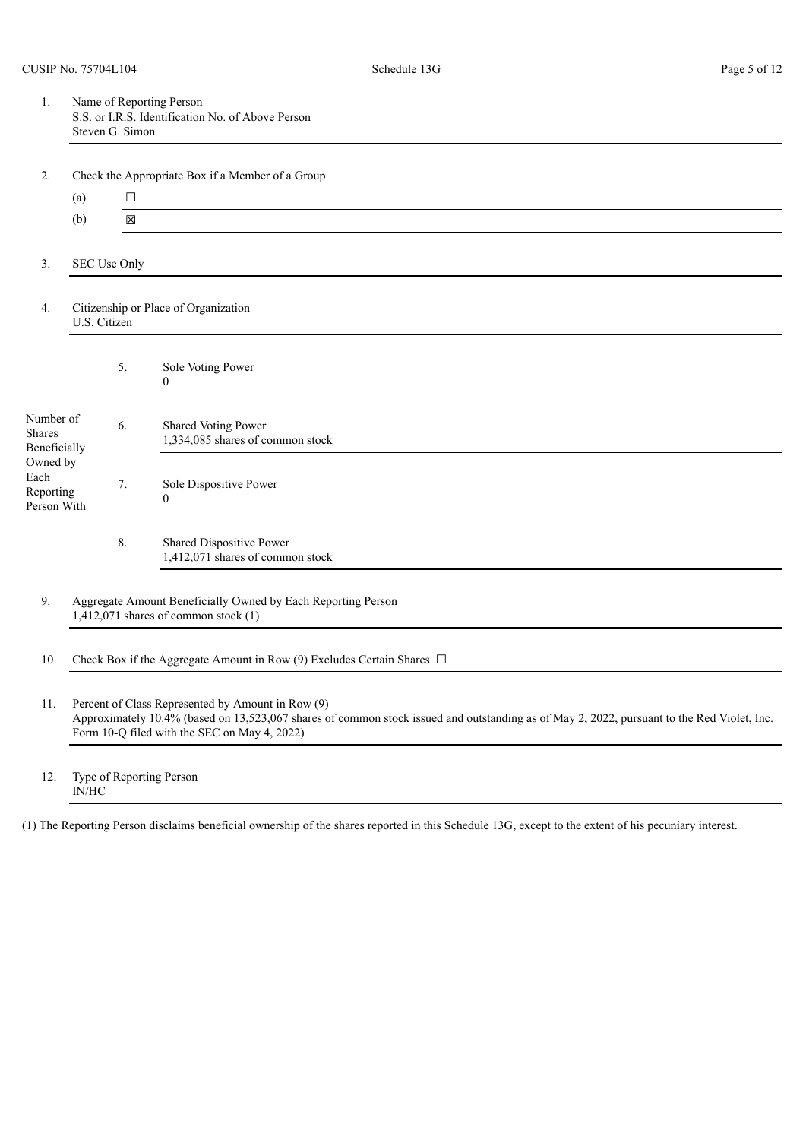| Name of Reporting Person                          |
|---------------------------------------------------|
| S.S. or I.R.S. Identification No. of Above Person |
| Steven G. Simon                                   |

|                                              | (a)          | $\Box$       |                                                                                                          |
|----------------------------------------------|--------------|--------------|----------------------------------------------------------------------------------------------------------|
|                                              | (b)          | $\boxtimes$  |                                                                                                          |
|                                              |              |              |                                                                                                          |
| 3.                                           |              | SEC Use Only |                                                                                                          |
| 4.                                           | U.S. Citizen |              | Citizenship or Place of Organization                                                                     |
|                                              |              | 5.           | Sole Voting Power<br>$\overline{0}$                                                                      |
| Number of<br><b>Shares</b><br>Beneficially   |              | 6.           | Shared Voting Power<br>1,334,085 shares of common stock                                                  |
| Owned by<br>Each<br>Reporting<br>Person With |              | 7.           | Sole Dispositive Power<br>$\mathbf{0}$                                                                   |
|                                              |              | 8.           | Shared Dispositive Power<br>1,412,071 shares of common stock                                             |
| 9.                                           |              |              | Aggregate Amount Beneficially Owned by Each Reporting Person<br>$1,412,071$ shares of common stock $(1)$ |

10. Check Box if the Aggregate Amount in Row (9) Excludes Certain Shares  $\Box$ 

11. Percent of Class Represented by Amount in Row (9) Approximately 10.4% (based on 13,523,067 shares of common stock issued and outstanding as of May 2, 2022, pursuant to the Red Violet, Inc. Form 10-Q filed with the SEC on May 4, 2022)

12. Type of Reporting Person IN/HC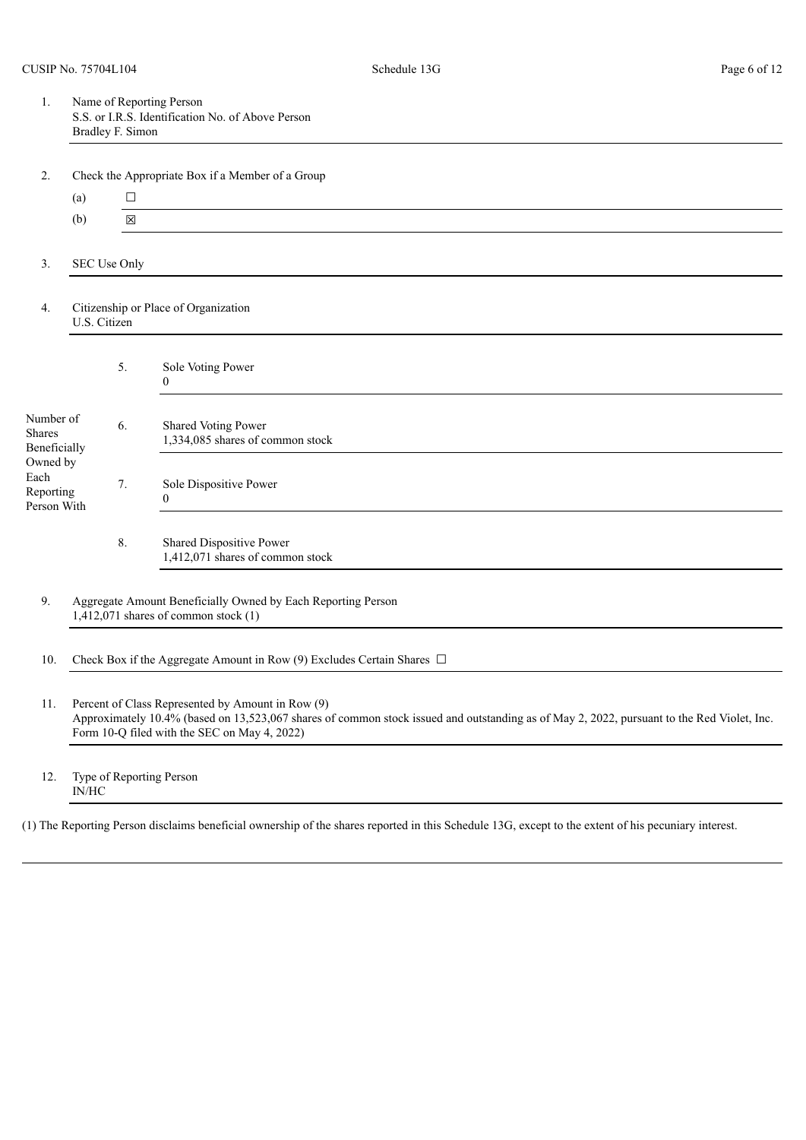| Ι. | Name of Reporting Person                          |
|----|---------------------------------------------------|
|    | S.S. or I.R.S. Identification No. of Above Person |
|    | Bradley F. Simon                                  |

|                                              | (a)          | $\Box$       |                                                                |
|----------------------------------------------|--------------|--------------|----------------------------------------------------------------|
|                                              | (b)          | $\boxtimes$  |                                                                |
|                                              |              |              |                                                                |
| 3.                                           |              | SEC Use Only |                                                                |
| 4.                                           | U.S. Citizen |              | Citizenship or Place of Organization                           |
|                                              |              | 5.           | Sole Voting Power<br>$\overline{0}$                            |
| Number of<br>Shares<br>Beneficially          |              | 6.           | <b>Shared Voting Power</b><br>1,334,085 shares of common stock |
| Owned by<br>Each<br>Reporting<br>Person With |              | 7.           | Sole Dispositive Power<br>$\mathbf{0}$                         |
|                                              |              | 8.           | Shared Dispositive Power<br>1,412,071 shares of common stock   |

10. Check Box if the Aggregate Amount in Row (9) Excludes Certain Shares  $\Box$ 

11. Percent of Class Represented by Amount in Row (9) Approximately 10.4% (based on 13,523,067 shares of common stock issued and outstanding as of May 2, 2022, pursuant to the Red Violet, Inc. Form 10-Q filed with the SEC on May 4, 2022)

12. Type of Reporting Person IN/HC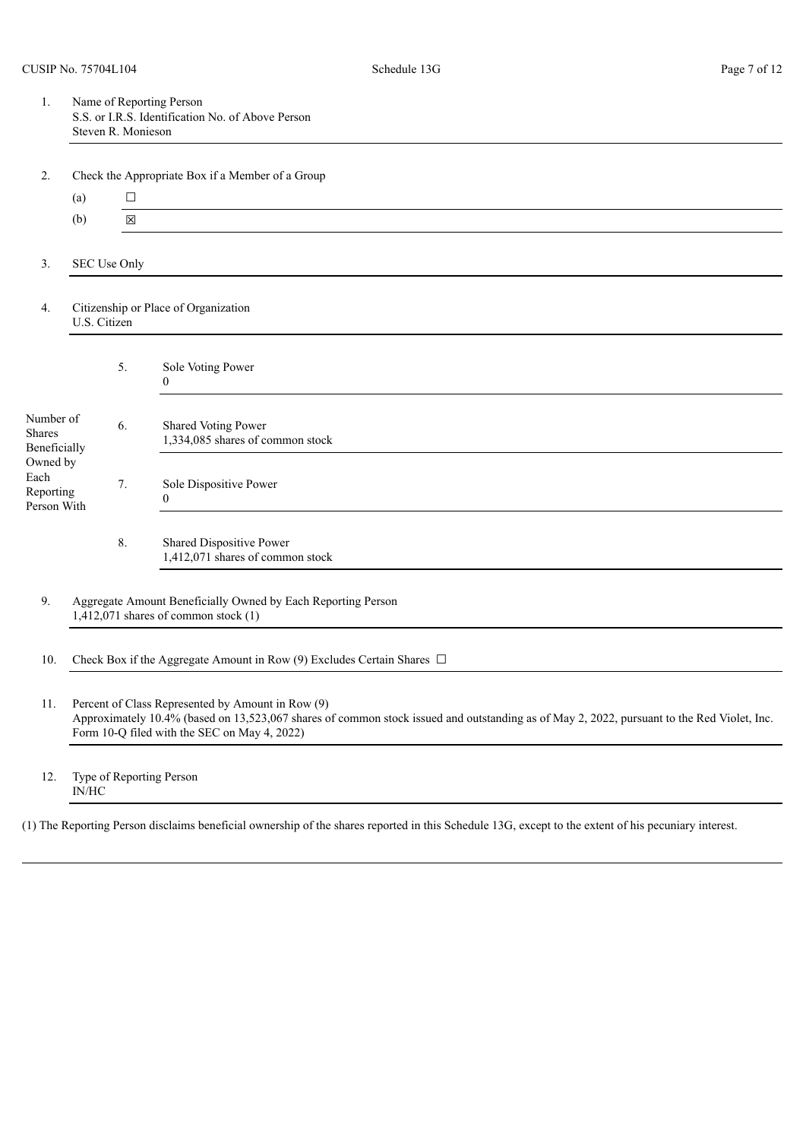| Name of Reporting Person                          |
|---------------------------------------------------|
| S.S. or I.R.S. Identification No. of Above Person |
| Steven R. Monieson                                |

|                          |              |              | encen the rippropriate Box II a memoer of a Group       |
|--------------------------|--------------|--------------|---------------------------------------------------------|
|                          | (a)          | $\Box$       |                                                         |
|                          | (b)          | $\boxtimes$  |                                                         |
|                          |              |              |                                                         |
| 3.                       |              | SEC Use Only |                                                         |
|                          |              |              |                                                         |
| 4.                       | U.S. Citizen |              | Citizenship or Place of Organization                    |
|                          |              |              |                                                         |
|                          |              | 5.           | Sole Voting Power                                       |
|                          |              |              | $\theta$                                                |
| Number of                |              |              |                                                         |
| <b>Shares</b>            |              | 6.           | Shared Voting Power<br>1,334,085 shares of common stock |
| Beneficially<br>Owned by |              |              |                                                         |
| Each                     |              | 7.           | Sole Dispositive Power                                  |
| Reporting<br>Person With |              |              | $\overline{0}$                                          |
|                          |              |              |                                                         |
|                          |              | 8.           | Shared Dispositive Power                                |
|                          |              |              | 1,412,071 shares of common stock                        |

10. Check Box if the Aggregate Amount in Row (9) Excludes Certain Shares  $\Box$ 

11. Percent of Class Represented by Amount in Row (9) Approximately 10.4% (based on 13,523,067 shares of common stock issued and outstanding as of May 2, 2022, pursuant to the Red Violet, Inc. Form 10-Q filed with the SEC on May 4, 2022)

12. Type of Reporting Person IN/HC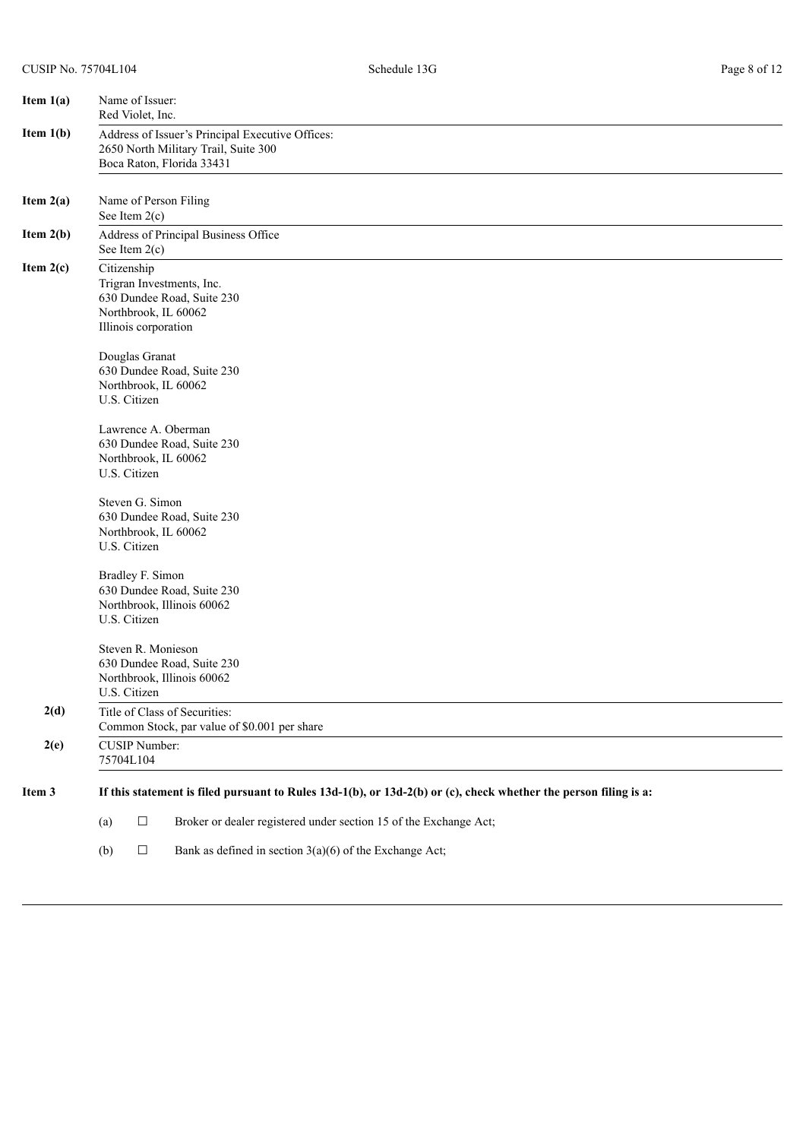| Item $1(a)$ | Name of Issuer:<br>Red Violet, Inc.                                                                                    |
|-------------|------------------------------------------------------------------------------------------------------------------------|
| Item $1(b)$ | Address of Issuer's Principal Executive Offices:<br>2650 North Military Trail, Suite 300<br>Boca Raton, Florida 33431  |
| Item $2(a)$ | Name of Person Filing<br>See Item $2(c)$                                                                               |
| Item $2(b)$ | Address of Principal Business Office<br>See Item $2(c)$                                                                |
| Item $2(c)$ | Citizenship<br>Trigran Investments, Inc.<br>630 Dundee Road, Suite 230<br>Northbrook, IL 60062<br>Illinois corporation |
|             | Douglas Granat<br>630 Dundee Road, Suite 230<br>Northbrook, IL 60062<br>U.S. Citizen                                   |
|             | Lawrence A. Oberman<br>630 Dundee Road, Suite 230<br>Northbrook, IL 60062<br>U.S. Citizen                              |
|             | Steven G. Simon<br>630 Dundee Road, Suite 230<br>Northbrook, IL 60062<br>U.S. Citizen                                  |
|             | Bradley F. Simon<br>630 Dundee Road, Suite 230<br>Northbrook, Illinois 60062<br>U.S. Citizen                           |
|             | Steven R. Monieson<br>630 Dundee Road, Suite 230<br>Northbrook, Illinois 60062<br>U.S. Citizen                         |
| 2(d)        | Title of Class of Securities:<br>Common Stock, par value of \$0.001 per share                                          |
| 2(e)        | <b>CUSIP Number:</b><br>75704L104                                                                                      |
| Item 3      | If this statement is filed pursuant to Rules $13d-1(b)$ , or $13d-2(b)$ or (c), check whether the person filing is a:  |
|             | $\Box$<br>Broker or dealer registered under section 15 of the Exchange Act;<br>(a)                                     |
|             | $\Box$<br>Bank as defined in section $3(a)(6)$ of the Exchange Act;<br>(b)                                             |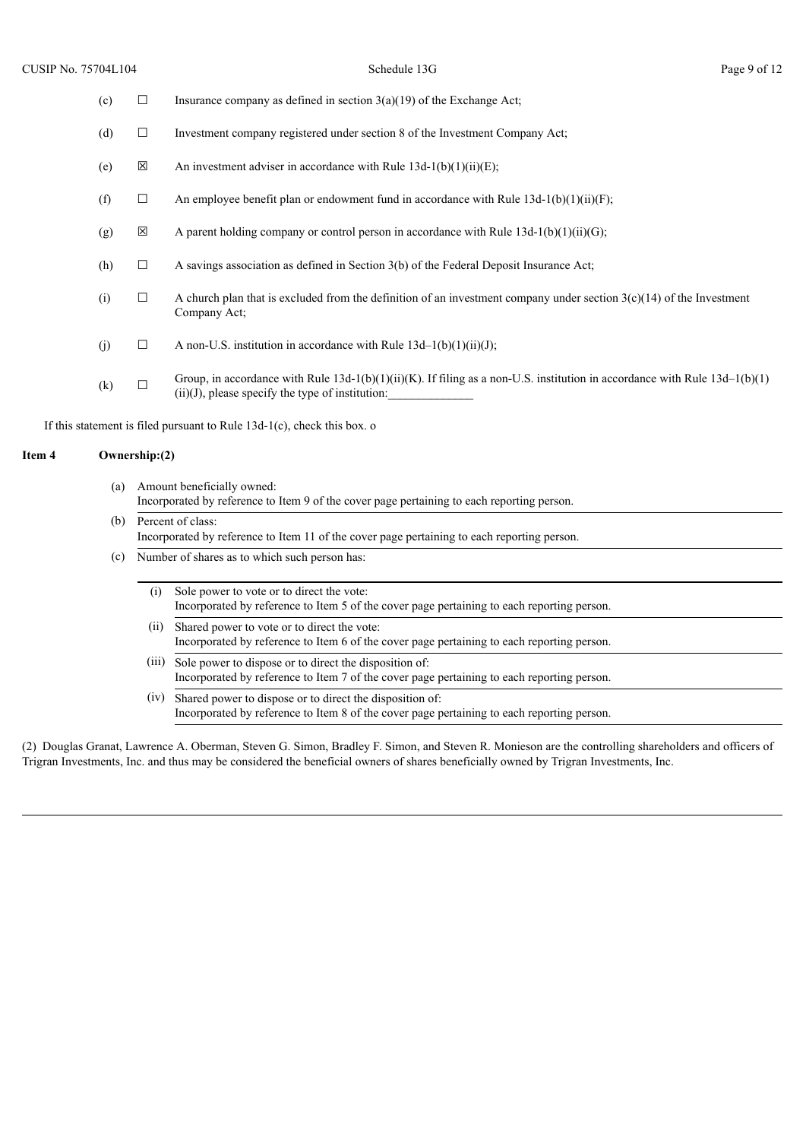| (c) | □      | Insurance company as defined in section $3(a)(19)$ of the Exchange Act;                                                                                                                |
|-----|--------|----------------------------------------------------------------------------------------------------------------------------------------------------------------------------------------|
| (d) | □      | Investment company registered under section 8 of the Investment Company Act;                                                                                                           |
| (e) | ⊠      | An investment adviser in accordance with Rule $13d-1(b)(1)(ii)(E)$ ;                                                                                                                   |
| (f) | □      | An employee benefit plan or endowment fund in accordance with Rule $13d-1(b)(1)(ii)(F)$ ;                                                                                              |
| (g) | X      | A parent holding company or control person in accordance with Rule $13d-1(b)(1)(ii)(G)$ ;                                                                                              |
| (h) | □      | A savings association as defined in Section 3(b) of the Federal Deposit Insurance Act;                                                                                                 |
| (i) | □      | A church plan that is excluded from the definition of an investment company under section $3(c)(14)$ of the Investment<br>Company Act;                                                 |
| (j) | $\Box$ | A non-U.S. institution in accordance with Rule $13d-1(b)(1)(ii)(J)$ ;                                                                                                                  |
| (k) | □      | Group, in accordance with Rule $13d-1(b)(1)(ii)(K)$ . If filing as a non-U.S. institution in accordance with Rule $13d-1(b)(1)$<br>$(ii)(J)$ , please specify the type of institution: |
|     |        |                                                                                                                                                                                        |

If this statement is filed pursuant to Rule 13d-1(c), check this box. o

#### **Item 4 Ownership:(2)**

| (a) Amount beneficially owned:                                                             |
|--------------------------------------------------------------------------------------------|
| Incorporated by reference to Item 9 of the cover page pertaining to each reporting person. |

- (b) Percent of class: Incorporated by reference to Item 11 of the cover page pertaining to each reporting person.
- (c) Number of shares as to which such person has:
	- (i) Sole power to vote or to direct the vote: Incorporated by reference to Item 5 of the cover page pertaining to each reporting person.
	- (ii) Shared power to vote or to direct the vote: Incorporated by reference to Item 6 of the cover page pertaining to each reporting person.
	- (iii) Sole power to dispose or to direct the disposition of: Incorporated by reference to Item 7 of the cover page pertaining to each reporting person.
	- (iv) Shared power to dispose or to direct the disposition of: Incorporated by reference to Item 8 of the cover page pertaining to each reporting person.

(2) Douglas Granat, Lawrence A. Oberman, Steven G. Simon, Bradley F. Simon, and Steven R. Monieson are the controlling shareholders and officers of Trigran Investments, Inc. and thus may be considered the beneficial owners of shares beneficially owned by Trigran Investments, Inc.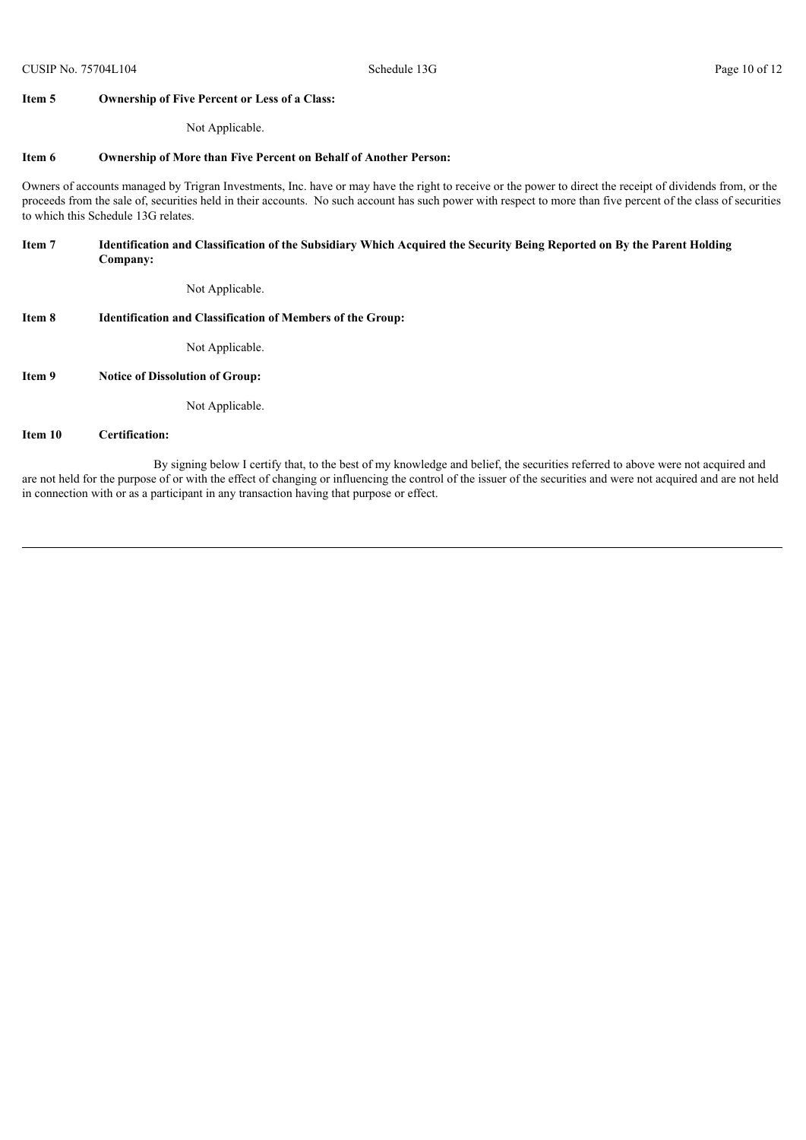#### **Item 5 Ownership of Five Percent or Less of a Class:**

Not Applicable.

#### **Item 6 Ownership of More than Five Percent on Behalf of Another Person:**

Owners of accounts managed by Trigran Investments, Inc. have or may have the right to receive or the power to direct the receipt of dividends from, or the proceeds from the sale of, securities held in their accounts. No such account has such power with respect to more than five percent of the class of securities to which this Schedule 13G relates.

#### Item 7 Identification and Classification of the Subsidiary Which Acquired the Security Being Reported on By the Parent Holding **Company:**

Not Applicable.

#### **Item 8 Identification and Classification of Members of the Group:**

Not Applicable.

**Item 9 Notice of Dissolution of Group:**

Not Applicable.

#### **Item 10 Certification:**

By signing below I certify that, to the best of my knowledge and belief, the securities referred to above were not acquired and are not held for the purpose of or with the effect of changing or influencing the control of the issuer of the securities and were not acquired and are not held in connection with or as a participant in any transaction having that purpose or effect.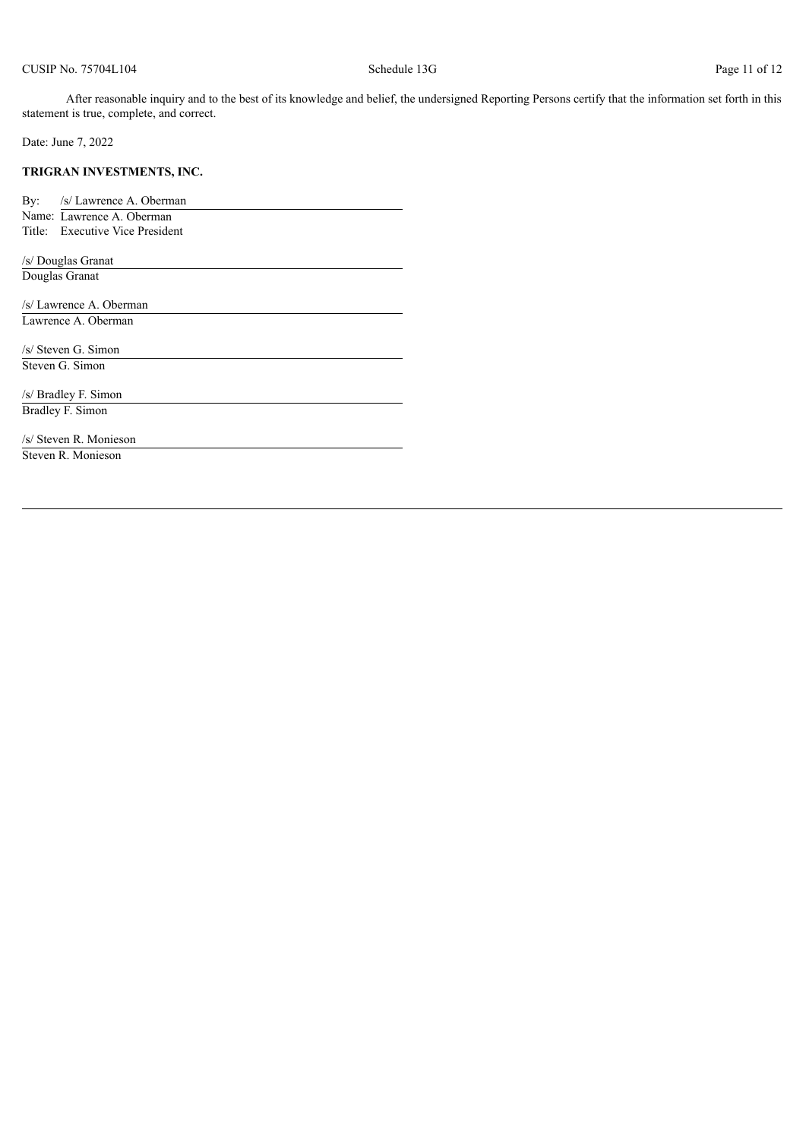After reasonable inquiry and to the best of its knowledge and belief, the undersigned Reporting Persons certify that the information set forth in this statement is true, complete, and correct.

Date: June 7, 2022

#### **TRIGRAN INVESTMENTS, INC.**

By: /s/ Lawrence A. Oberman Name: Lawrence A. Oberman Title: Executive Vice President

/s/ Douglas Granat

Douglas Granat

/s/ Lawrence A. Oberman Lawrence A. Oberman

/s/ Steven G. Simon Steven G. Simon

/s/ Bradley F. Simon Bradley F. Simon

/s/ Steven R. Monieson Steven R. Monieson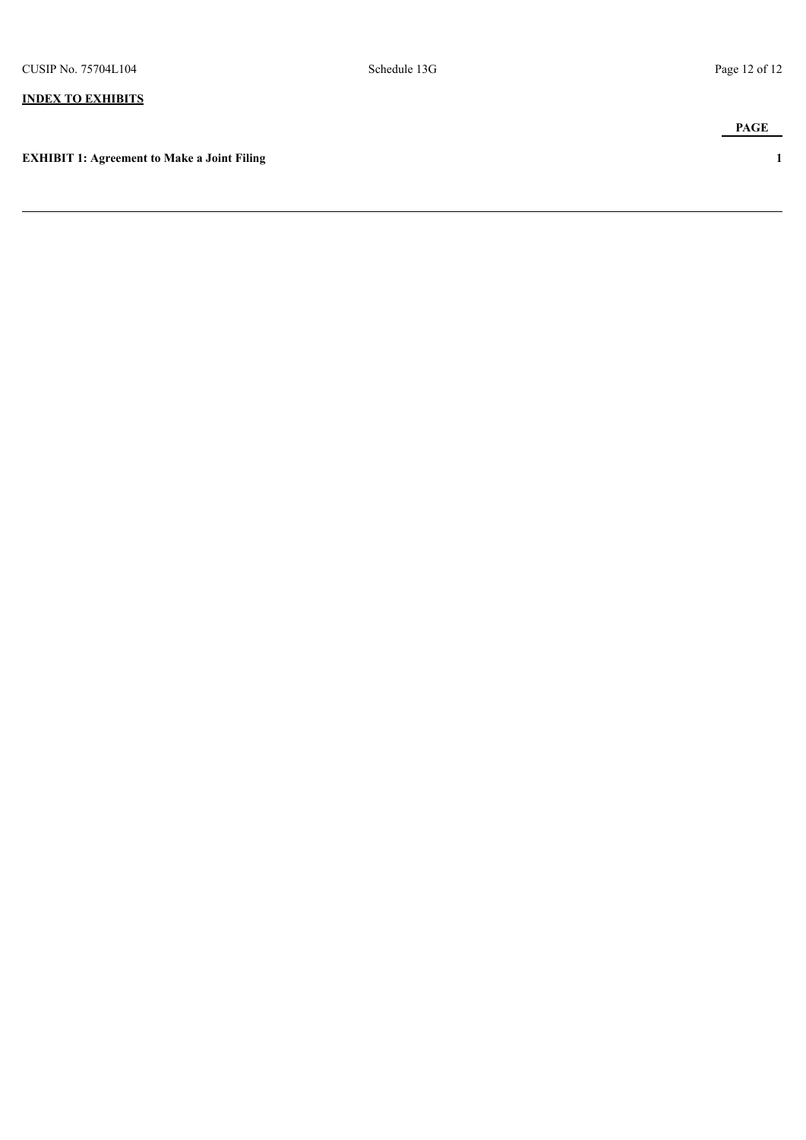## **INDEX TO EXHIBITS**

**EXHIBIT 1: Agreement to Make a Joint Filing 1**

**PAGE**